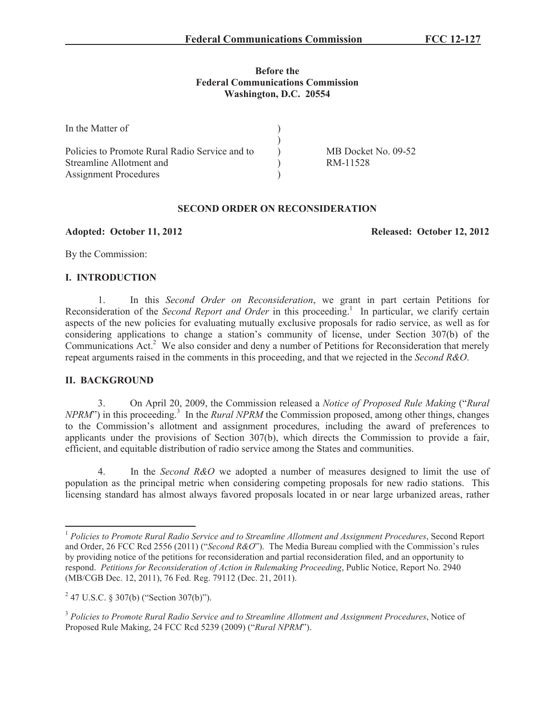## **Before the Federal Communications Commission Washington, D.C. 20554**

| In the Matter of                               |                     |
|------------------------------------------------|---------------------|
|                                                |                     |
| Policies to Promote Rural Radio Service and to | MB Docket No. 09-52 |
| Streamline Allotment and                       | RM-11528            |
| <b>Assignment Procedures</b>                   |                     |

# **SECOND ORDER ON RECONSIDERATION**

**Adopted: October 11, 2012 Released: October 12, 2012**

By the Commission:

## **I. INTRODUCTION**

1. In this *Second Order on Reconsideration*, we grant in part certain Petitions for Reconsideration of the *Second Report and Order* in this proceeding.<sup>1</sup> In particular, we clarify certain aspects of the new policies for evaluating mutually exclusive proposals for radio service, as well as for considering applications to change a station's community of license, under Section 307(b) of the Communications Act.<sup>2</sup> We also consider and deny a number of Petitions for Reconsideration that merely repeat arguments raised in the comments in this proceeding, and that we rejected in the *Second R&O*.

## **II. BACKGROUND**

3. On April 20, 2009, the Commission released a *Notice of Proposed Rule Making* ("*Rural NPRM*") in this proceeding.<sup>3</sup> In the *Rural NPRM* the Commission proposed, among other things, changes to the Commission's allotment and assignment procedures, including the award of preferences to applicants under the provisions of Section 307(b), which directs the Commission to provide a fair, efficient, and equitable distribution of radio service among the States and communities.

4. In the *Second R&O* we adopted a number of measures designed to limit the use of population as the principal metric when considering competing proposals for new radio stations. This licensing standard has almost always favored proposals located in or near large urbanized areas, rather

<sup>1</sup> *Policies to Promote Rural Radio Service and to Streamline Allotment and Assignment Procedures*, Second Report and Order, 26 FCC Rcd 2556 (2011) ("*Second R&O*"). The Media Bureau complied with the Commission's rules by providing notice of the petitions for reconsideration and partial reconsideration filed, and an opportunity to respond. *Petitions for Reconsideration of Action in Rulemaking Proceeding*, Public Notice, Report No. 2940 (MB/CGB Dec. 12, 2011), 76 Fed. Reg. 79112 (Dec. 21, 2011).

 $2^{2}$  47 U.S.C. § 307(b) ("Section 307(b)").

<sup>3</sup> *Policies to Promote Rural Radio Service and to Streamline Allotment and Assignment Procedures*, Notice of Proposed Rule Making, 24 FCC Rcd 5239 (2009) ("*Rural NPRM*").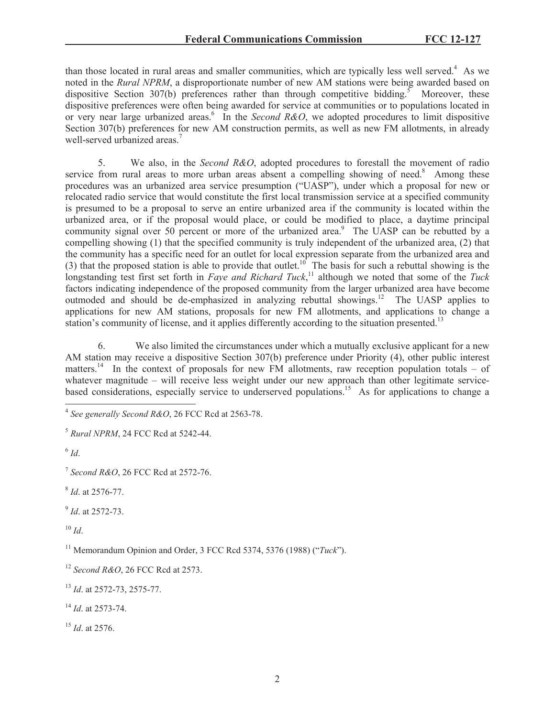than those located in rural areas and smaller communities, which are typically less well served.<sup>4</sup> As we noted in the *Rural NPRM*, a disproportionate number of new AM stations were being awarded based on dispositive Section 307(b) preferences rather than through competitive bidding.<sup>5</sup> Moreover, these dispositive preferences were often being awarded for service at communities or to populations located in or very near large urbanized areas.<sup>6</sup> In the *Second R&O*, we adopted procedures to limit dispositive Section 307(b) preferences for new AM construction permits, as well as new FM allotments, in already well-served urbanized areas.<sup>7</sup>

5. We also, in the *Second R&O*, adopted procedures to forestall the movement of radio service from rural areas to more urban areas absent a compelling showing of need.<sup>8</sup> Among these procedures was an urbanized area service presumption ("UASP"), under which a proposal for new or relocated radio service that would constitute the first local transmission service at a specified community is presumed to be a proposal to serve an entire urbanized area if the community is located within the urbanized area, or if the proposal would place, or could be modified to place, a daytime principal community signal over 50 percent or more of the urbanized area.<sup>9</sup> The UASP can be rebutted by a compelling showing (1) that the specified community is truly independent of the urbanized area, (2) that the community has a specific need for an outlet for local expression separate from the urbanized area and (3) that the proposed station is able to provide that outlet.<sup>10</sup> The basis for such a rebuttal showing is the longstanding test first set forth in *Faye and Richard Tuck*,<sup>11</sup> although we noted that some of the *Tuck* factors indicating independence of the proposed community from the larger urbanized area have become outmoded and should be de-emphasized in analyzing rebuttal showings.<sup>12</sup> The UASP applies to applications for new AM stations, proposals for new FM allotments, and applications to change a station's community of license, and it applies differently according to the situation presented.<sup>13</sup>

6. We also limited the circumstances under which a mutually exclusive applicant for a new AM station may receive a dispositive Section 307(b) preference under Priority (4), other public interest matters.<sup>14</sup> In the context of proposals for new FM allotments, raw reception population totals – of whatever magnitude – will receive less weight under our new approach than other legitimate servicebased considerations, especially service to underserved populations.<sup>15</sup> As for applications to change a

6 *Id*.

7 *Second R&O*, 26 FCC Rcd at 2572-76.

8 *Id*. at 2576-77.

9 *Id*. at 2572-73.

 $10 \,$ *Id.* 

<sup>11</sup> Memorandum Opinion and Order, 3 FCC Rcd 5374, 5376 (1988) ("*Tuck*").

<sup>14</sup> *Id*. at 2573-74.

<sup>15</sup> *Id*. at 2576.

<sup>4</sup> *See generally Second R&O*, 26 FCC Rcd at 2563-78.

<sup>5</sup> *Rural NPRM*, 24 FCC Rcd at 5242-44.

<sup>12</sup> *Second R&O*, 26 FCC Rcd at 2573.

<sup>13</sup> *Id*. at 2572-73, 2575-77.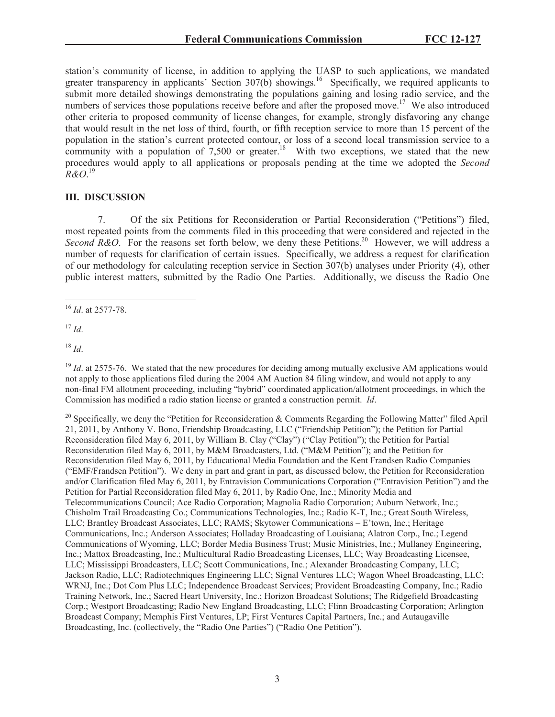station's community of license, in addition to applying the UASP to such applications, we mandated greater transparency in applicants' Section  $307(b)$  showings.<sup>16</sup> Specifically, we required applicants to submit more detailed showings demonstrating the populations gaining and losing radio service, and the numbers of services those populations receive before and after the proposed move.<sup>17</sup> We also introduced other criteria to proposed community of license changes, for example, strongly disfavoring any change that would result in the net loss of third, fourth, or fifth reception service to more than 15 percent of the population in the station's current protected contour, or loss of a second local transmission service to a community with a population of  $7,500$  or greater.<sup>18</sup> With two exceptions, we stated that the new procedures would apply to all applications or proposals pending at the time we adopted the *Second R&O*. 19

### **III. DISCUSSION**

7. Of the six Petitions for Reconsideration or Partial Reconsideration ("Petitions") filed, most repeated points from the comments filed in this proceeding that were considered and rejected in the Second R&O. For the reasons set forth below, we deny these Petitions.<sup>20</sup> However, we will address a number of requests for clarification of certain issues. Specifically, we address a request for clarification of our methodology for calculating reception service in Section 307(b) analyses under Priority (4), other public interest matters, submitted by the Radio One Parties. Additionally, we discuss the Radio One

<sup>17</sup> *Id*.

<sup>18</sup> *Id*.

<sup>19</sup> *Id.* at 2575-76. We stated that the new procedures for deciding among mutually exclusive AM applications would not apply to those applications filed during the 2004 AM Auction 84 filing window, and would not apply to any non-final FM allotment proceeding, including "hybrid" coordinated application/allotment proceedings, in which the Commission has modified a radio station license or granted a construction permit. *Id*.

<sup>20</sup> Specifically, we deny the "Petition for Reconsideration & Comments Regarding the Following Matter" filed April 21, 2011, by Anthony V. Bono, Friendship Broadcasting, LLC ("Friendship Petition"); the Petition for Partial Reconsideration filed May 6, 2011, by William B. Clay ("Clay") ("Clay Petition"); the Petition for Partial Reconsideration filed May 6, 2011, by M&M Broadcasters, Ltd. ("M&M Petition"); and the Petition for Reconsideration filed May 6, 2011, by Educational Media Foundation and the Kent Frandsen Radio Companies ("EMF/Frandsen Petition"). We deny in part and grant in part, as discussed below, the Petition for Reconsideration and/or Clarification filed May 6, 2011, by Entravision Communications Corporation ("Entravision Petition") and the Petition for Partial Reconsideration filed May 6, 2011, by Radio One, Inc.; Minority Media and Telecommunications Council; Ace Radio Corporation; Magnolia Radio Corporation; Auburn Network, Inc.; Chisholm Trail Broadcasting Co.; Communications Technologies, Inc.; Radio K-T, Inc.; Great South Wireless, LLC; Brantley Broadcast Associates, LLC; RAMS; Skytower Communications – E'town, Inc.; Heritage Communications, Inc.; Anderson Associates; Holladay Broadcasting of Louisiana; Alatron Corp., Inc.; Legend Communications of Wyoming, LLC; Border Media Business Trust; Music Ministries, Inc.; Mullaney Engineering, Inc.; Mattox Broadcasting, Inc.; Multicultural Radio Broadcasting Licenses, LLC; Way Broadcasting Licensee, LLC; Mississippi Broadcasters, LLC; Scott Communications, Inc.; Alexander Broadcasting Company, LLC; Jackson Radio, LLC; Radiotechniques Engineering LLC; Signal Ventures LLC; Wagon Wheel Broadcasting, LLC; WRNJ, Inc.; Dot Com Plus LLC; Independence Broadcast Services; Provident Broadcasting Company, Inc.; Radio Training Network, Inc.; Sacred Heart University, Inc.; Horizon Broadcast Solutions; The Ridgefield Broadcasting Corp.; Westport Broadcasting; Radio New England Broadcasting, LLC; Flinn Broadcasting Corporation; Arlington Broadcast Company; Memphis First Ventures, LP; First Ventures Capital Partners, Inc.; and Autaugaville Broadcasting, Inc. (collectively, the "Radio One Parties") ("Radio One Petition").

<sup>16</sup> *Id*. at 2577-78.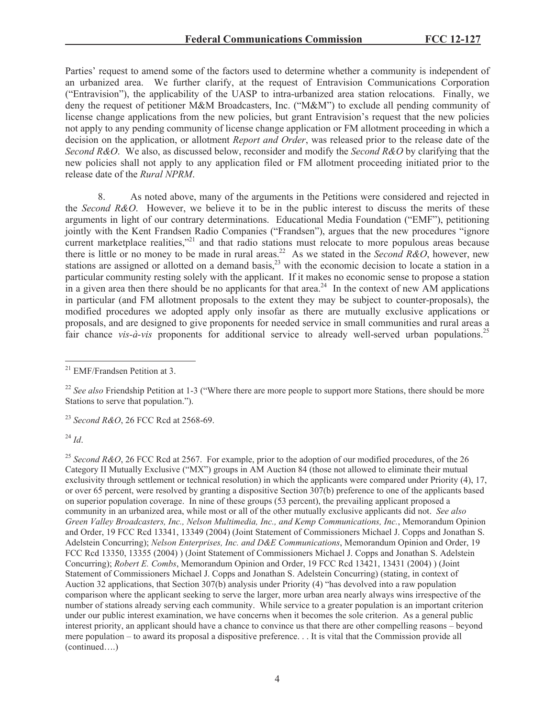Parties' request to amend some of the factors used to determine whether a community is independent of an urbanized area. We further clarify, at the request of Entravision Communications Corporation ("Entravision"), the applicability of the UASP to intra-urbanized area station relocations. Finally, we deny the request of petitioner M&M Broadcasters, Inc. ("M&M") to exclude all pending community of license change applications from the new policies, but grant Entravision's request that the new policies not apply to any pending community of license change application or FM allotment proceeding in which a decision on the application, or allotment *Report and Order*, was released prior to the release date of the *Second R&O*. We also, as discussed below, reconsider and modify the *Second R&O* by clarifying that the new policies shall not apply to any application filed or FM allotment proceeding initiated prior to the release date of the *Rural NPRM*.

8. As noted above, many of the arguments in the Petitions were considered and rejected in the *Second R&O*. However, we believe it to be in the public interest to discuss the merits of these arguments in light of our contrary determinations. Educational Media Foundation ("EMF"), petitioning jointly with the Kent Frandsen Radio Companies ("Frandsen"), argues that the new procedures "ignore current marketplace realities,"<sup>21</sup> and that radio stations must relocate to more populous areas because there is little or no money to be made in rural areas.<sup>22</sup> As we stated in the *Second R&O*, however, new stations are assigned or allotted on a demand basis,<sup>23</sup> with the economic decision to locate a station in a particular community resting solely with the applicant. If it makes no economic sense to propose a station in a given area then there should be no applicants for that area.<sup>24</sup> In the context of new AM applications in particular (and FM allotment proposals to the extent they may be subject to counter-proposals), the modified procedures we adopted apply only insofar as there are mutually exclusive applications or proposals, and are designed to give proponents for needed service in small communities and rural areas a fair chance *vis-à-vis* proponents for additional service to already well-served urban populations.<sup>25</sup>

<sup>23</sup> *Second R&O*, 26 FCC Rcd at 2568-69.

<sup>24</sup> *Id*.

<sup>25</sup> *Second R&O*, 26 FCC Rcd at 2567. For example, prior to the adoption of our modified procedures, of the 26 Category II Mutually Exclusive ("MX") groups in AM Auction 84 (those not allowed to eliminate their mutual exclusivity through settlement or technical resolution) in which the applicants were compared under Priority (4), 17, or over 65 percent, were resolved by granting a dispositive Section 307(b) preference to one of the applicants based on superior population coverage. In nine of these groups (53 percent), the prevailing applicant proposed a community in an urbanized area, while most or all of the other mutually exclusive applicants did not. *See also Green Valley Broadcasters, Inc., Nelson Multimedia, Inc., and Kemp Communications, Inc.*, Memorandum Opinion and Order, 19 FCC Rcd 13341, 13349 (2004) (Joint Statement of Commissioners Michael J. Copps and Jonathan S. Adelstein Concurring); *Nelson Enterprises, Inc. and D&E Communications*, Memorandum Opinion and Order, 19 FCC Rcd 13350, 13355 (2004) ) (Joint Statement of Commissioners Michael J. Copps and Jonathan S. Adelstein Concurring); *Robert E. Combs*, Memorandum Opinion and Order, 19 FCC Rcd 13421, 13431 (2004) ) (Joint Statement of Commissioners Michael J. Copps and Jonathan S. Adelstein Concurring) (stating, in context of Auction 32 applications, that Section 307(b) analysis under Priority (4) "has devolved into a raw population comparison where the applicant seeking to serve the larger, more urban area nearly always wins irrespective of the number of stations already serving each community. While service to a greater population is an important criterion under our public interest examination, we have concerns when it becomes the sole criterion. As a general public interest priority, an applicant should have a chance to convince us that there are other compelling reasons – beyond mere population – to award its proposal a dispositive preference. . . It is vital that the Commission provide all (continued….)

<sup>&</sup>lt;sup>21</sup> EMF/Frandsen Petition at 3.

<sup>&</sup>lt;sup>22</sup> See also Friendship Petition at 1-3 ("Where there are more people to support more Stations, there should be more Stations to serve that population.").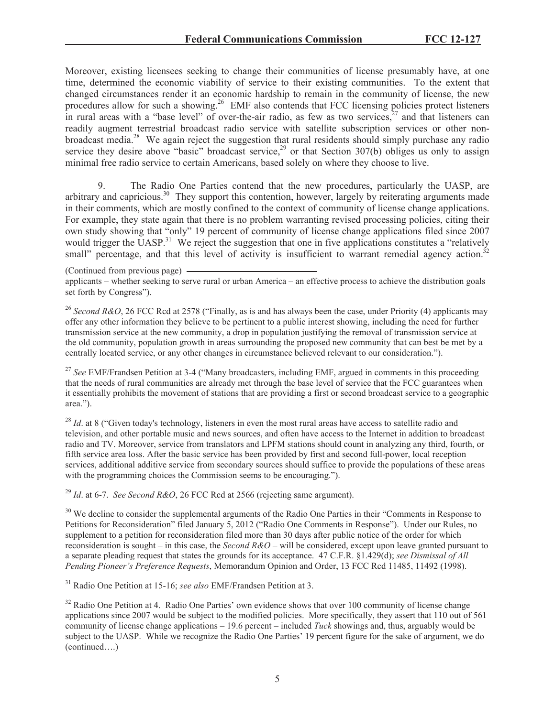Moreover, existing licensees seeking to change their communities of license presumably have, at one time, determined the economic viability of service to their existing communities. To the extent that changed circumstances render it an economic hardship to remain in the community of license, the new procedures allow for such a showing.<sup>26</sup> EMF also contends that FCC licensing policies protect listeners in rural areas with a "base level" of over-the-air radio, as few as two services, $27$  and that listeners can readily augment terrestrial broadcast radio service with satellite subscription services or other nonbroadcast media.<sup>28</sup> We again reject the suggestion that rural residents should simply purchase any radio service they desire above "basic" broadcast service,<sup>29</sup> or that Section 307(b) obliges us only to assign minimal free radio service to certain Americans, based solely on where they choose to live.

9. The Radio One Parties contend that the new procedures, particularly the UASP, are arbitrary and capricious.<sup>30</sup> They support this contention, however, largely by reiterating arguments made in their comments, which are mostly confined to the context of community of license change applications. For example, they state again that there is no problem warranting revised processing policies, citing their own study showing that "only" 19 percent of community of license change applications filed since 2007 would trigger the UASP.<sup>31</sup> We reject the suggestion that one in five applications constitutes a "relatively" small" percentage, and that this level of activity is insufficient to warrant remedial agency action.<sup>32</sup>

(Continued from previous page) applicants – whether seeking to serve rural or urban America – an effective process to achieve the distribution goals set forth by Congress").

<sup>26</sup> *Second R&O*, 26 FCC Rcd at 2578 ("Finally, as is and has always been the case, under Priority (4) applicants may offer any other information they believe to be pertinent to a public interest showing, including the need for further transmission service at the new community, a drop in population justifying the removal of transmission service at the old community, population growth in areas surrounding the proposed new community that can best be met by a centrally located service, or any other changes in circumstance believed relevant to our consideration.").

<sup>27</sup> See EMF/Frandsen Petition at 3-4 ("Many broadcasters, including EMF, argued in comments in this proceeding that the needs of rural communities are already met through the base level of service that the FCC guarantees when it essentially prohibits the movement of stations that are providing a first or second broadcast service to a geographic area.").

<sup>28</sup> *Id.* at 8 ("Given today's technology, listeners in even the most rural areas have access to satellite radio and television, and other portable music and news sources, and often have access to the Internet in addition to broadcast radio and TV. Moreover, service from translators and LPFM stations should count in analyzing any third, fourth, or fifth service area loss. After the basic service has been provided by first and second full-power, local reception services, additional additive service from secondary sources should suffice to provide the populations of these areas with the programming choices the Commission seems to be encouraging.").

<sup>29</sup> *Id*. at 6-7. *See Second R&O*, 26 FCC Rcd at 2566 (rejecting same argument).

<sup>30</sup> We decline to consider the supplemental arguments of the Radio One Parties in their "Comments in Response to Petitions for Reconsideration" filed January 5, 2012 ("Radio One Comments in Response"). Under our Rules, no supplement to a petition for reconsideration filed more than 30 days after public notice of the order for which reconsideration is sought – in this case, the *Second R&O* – will be considered, except upon leave granted pursuant to a separate pleading request that states the grounds for its acceptance. 47 C.F.R. §1.429(d); *see Dismissal of All Pending Pioneer's Preference Requests*, Memorandum Opinion and Order, 13 FCC Rcd 11485, 11492 (1998).

<sup>31</sup> Radio One Petition at 15-16; *see also* EMF/Frandsen Petition at 3.

<sup>32</sup> Radio One Petition at 4. Radio One Parties' own evidence shows that over 100 community of license change applications since 2007 would be subject to the modified policies. More specifically, they assert that 110 out of 561 community of license change applications – 19.6 percent – included *Tuck* showings and, thus, arguably would be subject to the UASP. While we recognize the Radio One Parties' 19 percent figure for the sake of argument, we do (continued….)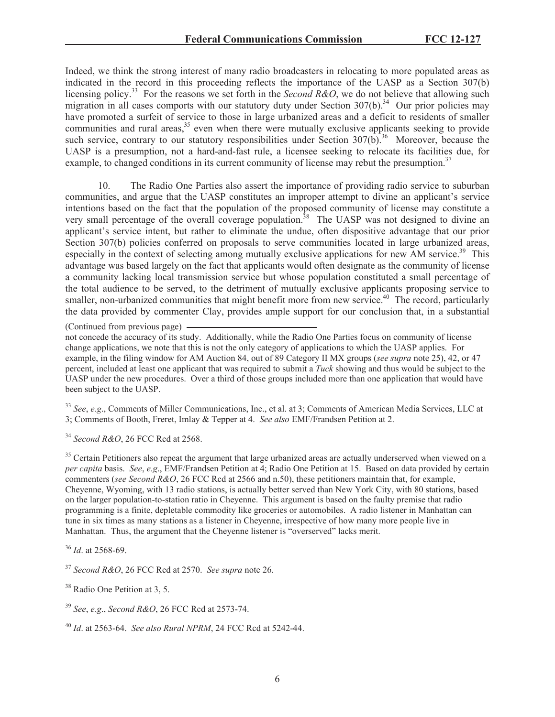Indeed, we think the strong interest of many radio broadcasters in relocating to more populated areas as indicated in the record in this proceeding reflects the importance of the UASP as a Section 307(b) licensing policy.<sup>33</sup> For the reasons we set forth in the *Second R&O*, we do not believe that allowing such migration in all cases comports with our statutory duty under Section  $307(b)$ .<sup>34</sup> Our prior policies may have promoted a surfeit of service to those in large urbanized areas and a deficit to residents of smaller communities and rural areas,<sup>35</sup> even when there were mutually exclusive applicants seeking to provide such service, contrary to our statutory responsibilities under Section  $307(b)$ <sup>36</sup> Moreover, because the UASP is a presumption, not a hard-and-fast rule, a licensee seeking to relocate its facilities due, for example, to changed conditions in its current community of license may rebut the presumption.<sup>37</sup>

10. The Radio One Parties also assert the importance of providing radio service to suburban communities, and argue that the UASP constitutes an improper attempt to divine an applicant's service intentions based on the fact that the population of the proposed community of license may constitute a very small percentage of the overall coverage population.<sup>38</sup> The UASP was not designed to divine an applicant's service intent, but rather to eliminate the undue, often dispositive advantage that our prior Section 307(b) policies conferred on proposals to serve communities located in large urbanized areas, especially in the context of selecting among mutually exclusive applications for new AM service.<sup>39</sup> This advantage was based largely on the fact that applicants would often designate as the community of license a community lacking local transmission service but whose population constituted a small percentage of the total audience to be served, to the detriment of mutually exclusive applicants proposing service to smaller, non-urbanized communities that might benefit more from new service.<sup>40</sup> The record, particularly the data provided by commenter Clay, provides ample support for our conclusion that, in a substantial

not concede the accuracy of its study. Additionally, while the Radio One Parties focus on community of license change applications, we note that this is not the only category of applications to which the UASP applies. For example, in the filing window for AM Auction 84, out of 89 Category II MX groups (*see supra* note 25), 42, or 47 percent, included at least one applicant that was required to submit a *Tuck* showing and thus would be subject to the UASP under the new procedures. Over a third of those groups included more than one application that would have been subject to the UASP.

<sup>33</sup> *See*, *e.g*., Comments of Miller Communications, Inc., et al. at 3; Comments of American Media Services, LLC at 3; Comments of Booth, Freret, Imlay & Tepper at 4. *See also* EMF/Frandsen Petition at 2.

<sup>34</sup> *Second R&O*, 26 FCC Rcd at 2568.

<sup>35</sup> Certain Petitioners also repeat the argument that large urbanized areas are actually underserved when viewed on a *per capita* basis. *See*, *e.g*., EMF/Frandsen Petition at 4; Radio One Petition at 15. Based on data provided by certain commenters (*see Second R&O*, 26 FCC Rcd at 2566 and n.50), these petitioners maintain that, for example, Cheyenne, Wyoming, with 13 radio stations, is actually better served than New York City, with 80 stations, based on the larger population-to-station ratio in Cheyenne. This argument is based on the faulty premise that radio programming is a finite, depletable commodity like groceries or automobiles. A radio listener in Manhattan can tune in six times as many stations as a listener in Cheyenne, irrespective of how many more people live in Manhattan. Thus, the argument that the Cheyenne listener is "overserved" lacks merit.

<sup>36</sup> *Id*. at 2568-69.

<sup>37</sup> *Second R&O*, 26 FCC Rcd at 2570. *See supra* note 26.

<sup>38</sup> Radio One Petition at 3, 5.

<sup>39</sup> *See*, *e.g*., *Second R&O*, 26 FCC Rcd at 2573-74.

<sup>40</sup> *Id*. at 2563-64. *See also Rural NPRM*, 24 FCC Rcd at 5242-44.

<sup>(</sup>Continued from previous page)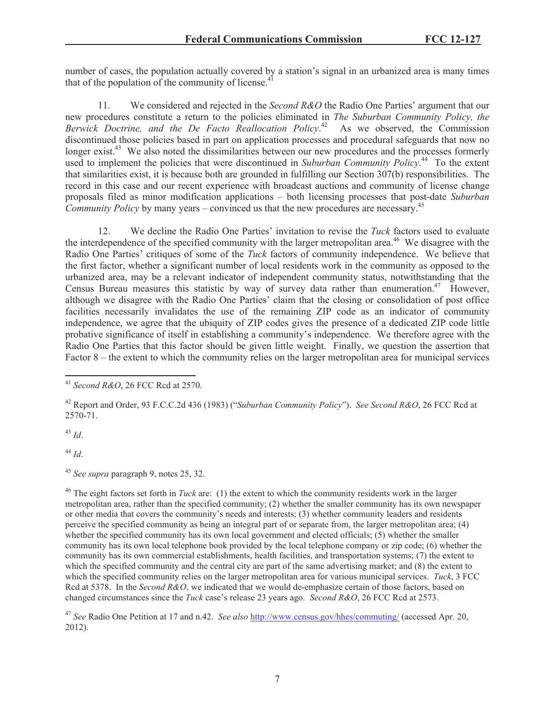number of cases, the population actually covered by a station's signal in an urbanized area is many times that of the population of the community of license.<sup>41</sup>

11. We considered and rejected in the *Second R&O* the Radio One Parties' argument that our new procedures constitute a return to the policies eliminated in *The Suburban Community Policy, the Berwick Doctrine, and the De Facto Reallocation Policy*. <sup>42</sup> As we observed, the Commission discontinued those policies based in part on application processes and procedural safeguards that now no longer exist.<sup>43</sup> We also noted the dissimilarities between our new procedures and the processes formerly used to implement the policies that were discontinued in *Suburban Community Policy*.<sup>44</sup> To the extent that similarities exist, it is because both are grounded in fulfilling our Section 307(b) responsibilities. The record in this case and our recent experience with broadcast auctions and community of license change proposals filed as minor modification applications – both licensing processes that post-date *Suburban Community Policy* by many years – convinced us that the new procedures are necessary.<sup>45</sup>

12. We decline the Radio One Parties' invitation to revise the *Tuck* factors used to evaluate the interdependence of the specified community with the larger metropolitan area.<sup>46</sup> We disagree with the Radio One Parties' critiques of some of the *Tuck* factors of community independence. We believe that the first factor, whether a significant number of local residents work in the community as opposed to the urbanized area, may be a relevant indicator of independent community status, notwithstanding that the Census Bureau measures this statistic by way of survey data rather than enumeration.<sup>47</sup> However, although we disagree with the Radio One Parties' claim that the closing or consolidation of post office facilities necessarily invalidates the use of the remaining ZIP code as an indicator of community independence, we agree that the ubiquity of ZIP codes gives the presence of a dedicated ZIP code little probative significance of itself in establishing a community's independence. We therefore agree with the Radio One Parties that this factor should be given little weight. Finally, we question the assertion that Factor 8 – the extent to which the community relies on the larger metropolitan area for municipal services

<sup>43</sup> *Id*.

<sup>44</sup> *Id*.

<sup>45</sup> *See supra* paragraph 9, notes 25, 32.

<sup>46</sup> The eight factors set forth in *Tuck* are: (1) the extent to which the community residents work in the larger metropolitan area, rather than the specified community; (2) whether the smaller community has its own newspaper or other media that covers the community's needs and interests; (3) whether community leaders and residents perceive the specified community as being an integral part of or separate from, the larger metropolitan area; (4) whether the specified community has its own local government and elected officials; (5) whether the smaller community has its own local telephone book provided by the local telephone company or zip code; (6) whether the community has its own commercial establishments, health facilities, and transportation systems; (7) the extent to which the specified community and the central city are part of the same advertising market; and  $(8)$  the extent to which the specified community relies on the larger metropolitan area for various municipal services. *Tuck*, 3 FCC Rcd at 5378. In the *Second R&O*, we indicated that we would de-emphasize certain of those factors, based on changed circumstances since the *Tuck* case's release 23 years ago. *Second R&O*, 26 FCC Rcd at 2573.

<sup>47</sup> *See* Radio One Petition at 17 and n.42. *See also* http://www.census.gov/hhes/commuting/ (accessed Apr. 20, 2012).

<sup>41</sup> *Second R&O*, 26 FCC Rcd at 2570.

<sup>42</sup> Report and Order, 93 F.C.C.2d 436 (1983) ("*Suburban Community Policy*"). *See Second R&O*, 26 FCC Rcd at 2570-71.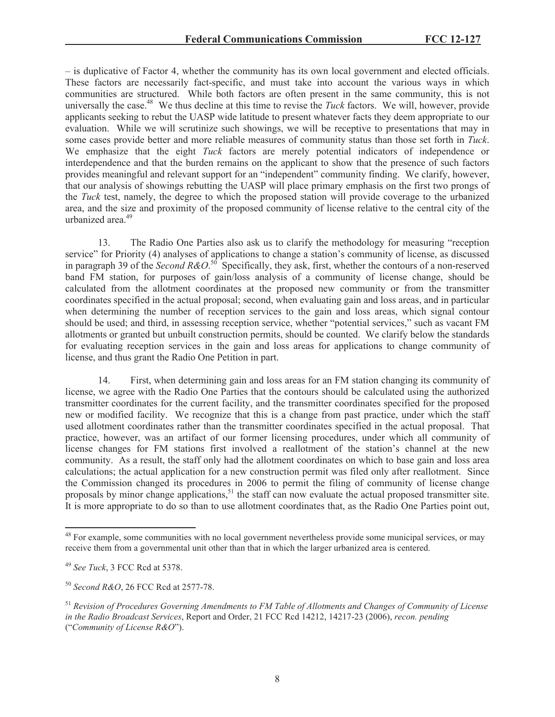– is duplicative of Factor 4, whether the community has its own local government and elected officials. These factors are necessarily fact-specific, and must take into account the various ways in which communities are structured. While both factors are often present in the same community, this is not universally the case.<sup>48</sup> We thus decline at this time to revise the *Tuck* factors. We will, however, provide applicants seeking to rebut the UASP wide latitude to present whatever facts they deem appropriate to our evaluation. While we will scrutinize such showings, we will be receptive to presentations that may in some cases provide better and more reliable measures of community status than those set forth in *Tuck*. We emphasize that the eight *Tuck* factors are merely potential indicators of independence or interdependence and that the burden remains on the applicant to show that the presence of such factors provides meaningful and relevant support for an "independent" community finding. We clarify, however, that our analysis of showings rebutting the UASP will place primary emphasis on the first two prongs of the *Tuck* test, namely, the degree to which the proposed station will provide coverage to the urbanized area, and the size and proximity of the proposed community of license relative to the central city of the urbanized area.<sup>49</sup>

13. The Radio One Parties also ask us to clarify the methodology for measuring "reception service" for Priority (4) analyses of applications to change a station's community of license, as discussed in paragraph 39 of the *Second R&O*.<sup>50</sup> Specifically, they ask, first, whether the contours of a non-reserved band FM station, for purposes of gain/loss analysis of a community of license change, should be calculated from the allotment coordinates at the proposed new community or from the transmitter coordinates specified in the actual proposal; second, when evaluating gain and loss areas, and in particular when determining the number of reception services to the gain and loss areas, which signal contour should be used; and third, in assessing reception service, whether "potential services," such as vacant FM allotments or granted but unbuilt construction permits, should be counted. We clarify below the standards for evaluating reception services in the gain and loss areas for applications to change community of license, and thus grant the Radio One Petition in part.

14. First, when determining gain and loss areas for an FM station changing its community of license, we agree with the Radio One Parties that the contours should be calculated using the authorized transmitter coordinates for the current facility, and the transmitter coordinates specified for the proposed new or modified facility. We recognize that this is a change from past practice, under which the staff used allotment coordinates rather than the transmitter coordinates specified in the actual proposal. That practice, however, was an artifact of our former licensing procedures, under which all community of license changes for FM stations first involved a reallotment of the station's channel at the new community. As a result, the staff only had the allotment coordinates on which to base gain and loss area calculations; the actual application for a new construction permit was filed only after reallotment. Since the Commission changed its procedures in 2006 to permit the filing of community of license change proposals by minor change applications,<sup>51</sup> the staff can now evaluate the actual proposed transmitter site. It is more appropriate to do so than to use allotment coordinates that, as the Radio One Parties point out,

<sup>&</sup>lt;sup>48</sup> For example, some communities with no local government nevertheless provide some municipal services, or may receive them from a governmental unit other than that in which the larger urbanized area is centered.

<sup>49</sup> *See Tuck*, 3 FCC Rcd at 5378.

<sup>50</sup> *Second R&O*, 26 FCC Rcd at 2577-78.

<sup>51</sup> *Revision of Procedures Governing Amendments to FM Table of Allotments and Changes of Community of License in the Radio Broadcast Services*, Report and Order, 21 FCC Rcd 14212, 14217-23 (2006), *recon. pending* ("*Community of License R&O*").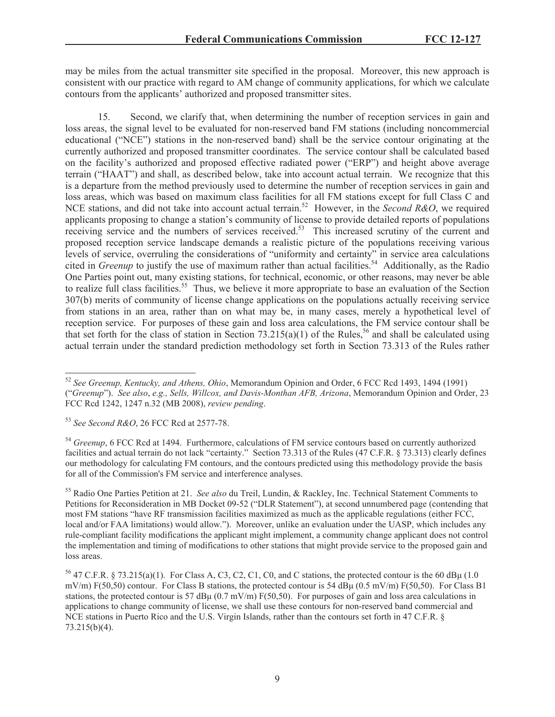may be miles from the actual transmitter site specified in the proposal. Moreover, this new approach is consistent with our practice with regard to AM change of community applications, for which we calculate contours from the applicants' authorized and proposed transmitter sites.

15. Second, we clarify that, when determining the number of reception services in gain and loss areas, the signal level to be evaluated for non-reserved band FM stations (including noncommercial educational ("NCE") stations in the non-reserved band) shall be the service contour originating at the currently authorized and proposed transmitter coordinates. The service contour shall be calculated based on the facility's authorized and proposed effective radiated power ("ERP") and height above average terrain ("HAAT") and shall, as described below, take into account actual terrain. We recognize that this is a departure from the method previously used to determine the number of reception services in gain and loss areas, which was based on maximum class facilities for all FM stations except for full Class C and NCE stations, and did not take into account actual terrain.<sup>52</sup> However, in the *Second R&O*, we required applicants proposing to change a station's community of license to provide detailed reports of populations receiving service and the numbers of services received.<sup>53</sup> This increased scrutiny of the current and proposed reception service landscape demands a realistic picture of the populations receiving various levels of service, overruling the considerations of "uniformity and certainty" in service area calculations cited in *Greenup* to justify the use of maximum rather than actual facilities.<sup>54</sup> Additionally, as the Radio One Parties point out, many existing stations, for technical, economic, or other reasons, may never be able to realize full class facilities.<sup>55</sup> Thus, we believe it more appropriate to base an evaluation of the Section 307(b) merits of community of license change applications on the populations actually receiving service from stations in an area, rather than on what may be, in many cases, merely a hypothetical level of reception service. For purposes of these gain and loss area calculations, the FM service contour shall be that set forth for the class of station in Section 73.215(a)(1) of the Rules,<sup>56</sup> and shall be calculated using actual terrain under the standard prediction methodology set forth in Section 73.313 of the Rules rather

<sup>54</sup> *Greenup*, 6 FCC Rcd at 1494. Furthermore, calculations of FM service contours based on currently authorized facilities and actual terrain do not lack "certainty." Section 73.313 of the Rules (47 C.F.R. § 73.313) clearly defines our methodology for calculating FM contours, and the contours predicted using this methodology provide the basis for all of the Commission's FM service and interference analyses.

<sup>55</sup> Radio One Parties Petition at 21. *See also* du Treil, Lundin, & Rackley, Inc. Technical Statement Comments to Petitions for Reconsideration in MB Docket 09-52 ("DLR Statement"), at second unnumbered page (contending that most FM stations "have RF transmission facilities maximized as much as the applicable regulations (either FCC, local and/or FAA limitations) would allow."). Moreover, unlike an evaluation under the UASP, which includes any rule-compliant facility modifications the applicant might implement, a community change applicant does not control the implementation and timing of modifications to other stations that might provide service to the proposed gain and loss areas.

<sup>52</sup> *See Greenup, Kentucky, and Athens, Ohio*, Memorandum Opinion and Order, 6 FCC Rcd 1493, 1494 (1991) ("*Greenup*"). *See also*, *e.g., Sells, Willcox, and Davis-Monthan AFB, Arizona*, Memorandum Opinion and Order, 23 FCC Rcd 1242, 1247 n.32 (MB 2008), *review pending*.

<sup>53</sup> *See Second R&O*, 26 FCC Rcd at 2577-78.

<sup>&</sup>lt;sup>56</sup> 47 C.F.R. § 73.215(a)(1). For Class A, C3, C2, C1, C0, and C stations, the protected contour is the 60 dB $\mu$  (1.0) mV/m)  $F(50,50)$  contour. For Class B stations, the protected contour is 54 dBu (0.5 mV/m)  $F(50,50)$ . For Class B1 stations, the protected contour is 57 dB $\mu$  (0.7 mV/m) F(50,50). For purposes of gain and loss area calculations in applications to change community of license, we shall use these contours for non-reserved band commercial and NCE stations in Puerto Rico and the U.S. Virgin Islands, rather than the contours set forth in 47 C.F.R. § 73.215(b)(4).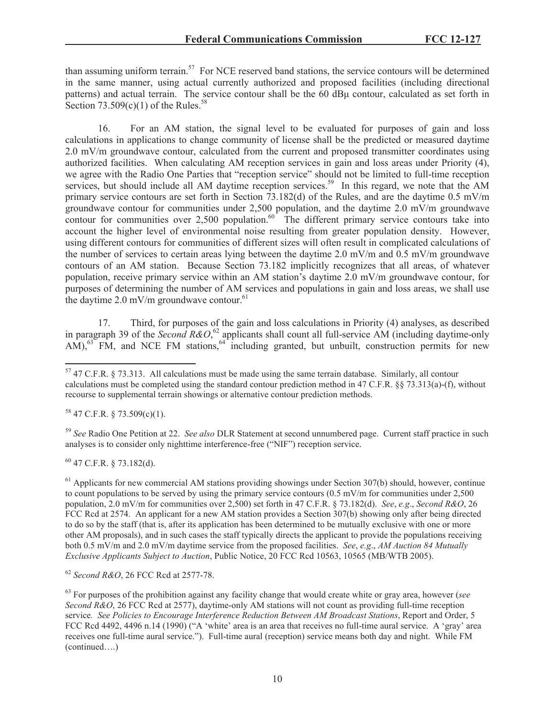than assuming uniform terrain.<sup>57</sup> For NCE reserved band stations, the service contours will be determined in the same manner, using actual currently authorized and proposed facilities (including directional patterns) and actual terrain. The service contour shall be the 60 dBμ contour, calculated as set forth in Section  $73.509(c)(1)$  of the Rules.<sup>58</sup>

16. For an AM station, the signal level to be evaluated for purposes of gain and loss calculations in applications to change community of license shall be the predicted or measured daytime 2.0 mV/m groundwave contour, calculated from the current and proposed transmitter coordinates using authorized facilities. When calculating AM reception services in gain and loss areas under Priority (4), we agree with the Radio One Parties that "reception service" should not be limited to full-time reception services, but should include all AM daytime reception services.<sup>59</sup> In this regard, we note that the AM primary service contours are set forth in Section 73.182(d) of the Rules, and are the daytime 0.5 mV/m groundwave contour for communities under 2,500 population, and the daytime 2.0 mV/m groundwave contour for communities over 2,500 population. $60^{\circ}$  The different primary service contours take into account the higher level of environmental noise resulting from greater population density. However, using different contours for communities of different sizes will often result in complicated calculations of the number of services to certain areas lying between the daytime 2.0 mV/m and 0.5 mV/m groundwave contours of an AM station. Because Section 73.182 implicitly recognizes that all areas, of whatever population, receive primary service within an AM station's daytime 2.0 mV/m groundwave contour, for purposes of determining the number of AM services and populations in gain and loss areas, we shall use the daytime  $2.0 \text{ mV/m}$  groundwave contour.<sup>61</sup>

17. Third, for purposes of the gain and loss calculations in Priority (4) analyses, as described in paragraph 39 of the *Second R&O*, <sup>62</sup> applicants shall count all full-service AM (including daytime-only  $A\hat{M}$ ),<sup>63</sup> FM, and NCE FM stations,<sup>64</sup> including granted, but unbuilt, construction permits for new

 $58$  47 C.F.R. § 73.509(c)(1).

<sup>59</sup> *See* Radio One Petition at 22. *See also* DLR Statement at second unnumbered page. Current staff practice in such analyses is to consider only nighttime interference-free ("NIF") reception service.

 $60$  47 C.F.R. § 73.182(d).

<sup>61</sup> Applicants for new commercial AM stations providing showings under Section 307(b) should, however, continue to count populations to be served by using the primary service contours (0.5 mV/m for communities under 2,500 population, 2.0 mV/m for communities over 2,500) set forth in 47 C.F.R. § 73.182(d). *See*, *e.g*., *Second R&O*, 26 FCC Rcd at 2574. An applicant for a new AM station provides a Section 307(b) showing only after being directed to do so by the staff (that is, after its application has been determined to be mutually exclusive with one or more other AM proposals), and in such cases the staff typically directs the applicant to provide the populations receiving both 0.5 mV/m and 2.0 mV/m daytime service from the proposed facilities. *See*, *e.g*., *AM Auction 84 Mutually Exclusive Applicants Subject to Auction*, Public Notice, 20 FCC Rcd 10563, 10565 (MB/WTB 2005).

<sup>62</sup> *Second R&O*, 26 FCC Rcd at 2577-78.

<sup>57</sup> 47 C.F.R. § 73.313. All calculations must be made using the same terrain database. Similarly, all contour calculations must be completed using the standard contour prediction method in 47 C.F.R. §§ 73.313(a)-(f), without recourse to supplemental terrain showings or alternative contour prediction methods.

<sup>63</sup> For purposes of the prohibition against any facility change that would create white or gray area, however (*see Second R&O*, 26 FCC Rcd at 2577), daytime-only AM stations will not count as providing full-time reception service*. See Policies to Encourage Interference Reduction Between AM Broadcast Stations*, Report and Order, 5 FCC Rcd 4492, 4496 n.14 (1990) ("A 'white' area is an area that receives no full-time aural service. A 'gray' area receives one full-time aural service."). Full-time aural (reception) service means both day and night. While FM (continued….)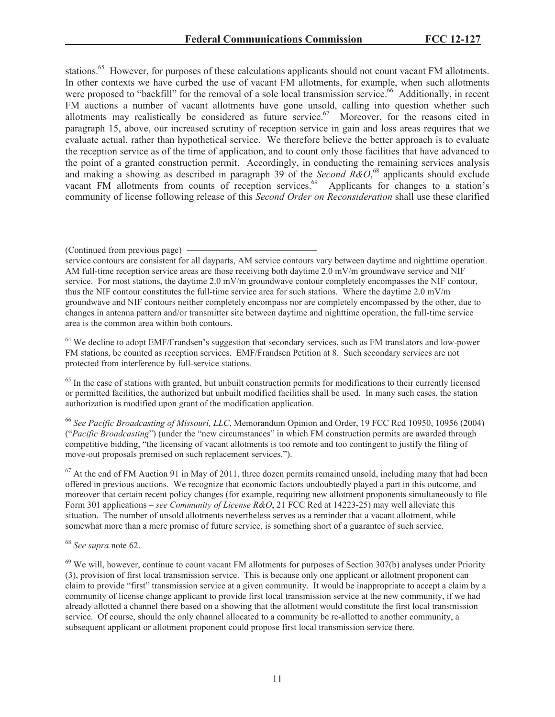stations.<sup>65</sup> However, for purposes of these calculations applicants should not count vacant FM allotments. In other contexts we have curbed the use of vacant FM allotments, for example, when such allotments were proposed to "backfill" for the removal of a sole local transmission service.<sup>66</sup> Additionally, in recent FM auctions a number of vacant allotments have gone unsold, calling into question whether such allotments may realistically be considered as future service.<sup>67</sup> Moreover, for the reasons cited in paragraph 15, above, our increased scrutiny of reception service in gain and loss areas requires that we evaluate actual, rather than hypothetical service. We therefore believe the better approach is to evaluate the reception service as of the time of application, and to count only those facilities that have advanced to the point of a granted construction permit. Accordingly, in conducting the remaining services analysis and making a showing as described in paragraph 39 of the *Second R&O*,<sup>68</sup> applicants should exclude vacant FM allotments from counts of reception services.<sup>69</sup> Applicants for changes to a station's community of license following release of this *Second Order on Reconsideration* shall use these clarified

<sup>64</sup> We decline to adopt EMF/Frandsen's suggestion that secondary services, such as FM translators and low-power FM stations, be counted as reception services. EMF/Frandsen Petition at 8. Such secondary services are not protected from interference by full-service stations.

<sup>65</sup> In the case of stations with granted, but unbuilt construction permits for modifications to their currently licensed or permitted facilities, the authorized but unbuilt modified facilities shall be used. In many such cases, the station authorization is modified upon grant of the modification application.

<sup>66</sup> *See Pacific Broadcasting of Missouri, LLC*, Memorandum Opinion and Order, 19 FCC Rcd 10950, 10956 (2004) ("*Pacific Broadcasting*") (under the "new circumstances" in which FM construction permits are awarded through competitive bidding, "the licensing of vacant allotments is too remote and too contingent to justify the filing of move-out proposals premised on such replacement services.").

 $67$  At the end of FM Auction 91 in May of 2011, three dozen permits remained unsold, including many that had been offered in previous auctions. We recognize that economic factors undoubtedly played a part in this outcome, and moreover that certain recent policy changes (for example, requiring new allotment proponents simultaneously to file Form 301 applications – *see Community of License R&O*, 21 FCC Rcd at 14223-25) may well alleviate this situation. The number of unsold allotments nevertheless serves as a reminder that a vacant allotment, while somewhat more than a mere promise of future service, is something short of a guarantee of such service.

<sup>68</sup> *See supra* note 62.

 $^{69}$  We will, however, continue to count vacant FM allotments for purposes of Section 307(b) analyses under Priority (3), provision of first local transmission service. This is because only one applicant or allotment proponent can claim to provide "first" transmission service at a given community. It would be inappropriate to accept a claim by a community of license change applicant to provide first local transmission service at the new community, if we had already allotted a channel there based on a showing that the allotment would constitute the first local transmission service. Of course, should the only channel allocated to a community be re-allotted to another community, a subsequent applicant or allotment proponent could propose first local transmission service there.

<sup>(</sup>Continued from previous page)

service contours are consistent for all dayparts, AM service contours vary between daytime and nighttime operation. AM full-time reception service areas are those receiving both daytime 2.0 mV/m groundwave service and NIF service. For most stations, the daytime 2.0 mV/m groundwave contour completely encompasses the NIF contour, thus the NIF contour constitutes the full-time service area for such stations. Where the daytime 2.0 mV/m groundwave and NIF contours neither completely encompass nor are completely encompassed by the other, due to changes in antenna pattern and/or transmitter site between daytime and nighttime operation, the full-time service area is the common area within both contours.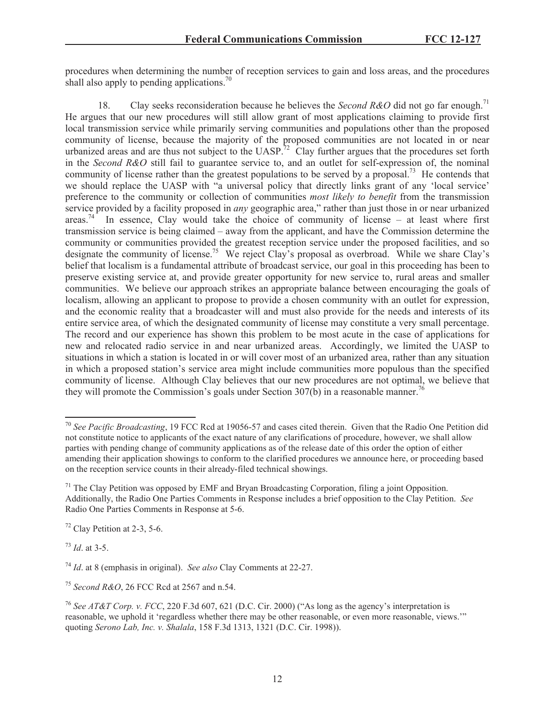procedures when determining the number of reception services to gain and loss areas, and the procedures shall also apply to pending applications.<sup>70</sup>

18. Clay seeks reconsideration because he believes the *Second R&O* did not go far enough.<sup>71</sup> He argues that our new procedures will still allow grant of most applications claiming to provide first local transmission service while primarily serving communities and populations other than the proposed community of license, because the majority of the proposed communities are not located in or near urbanized areas and are thus not subject to the UASP.<sup>72</sup> Clay further argues that the procedures set forth in the *Second R&O* still fail to guarantee service to, and an outlet for self-expression of, the nominal community of license rather than the greatest populations to be served by a proposal.<sup>73</sup> He contends that we should replace the UASP with "a universal policy that directly links grant of any 'local service' preference to the community or collection of communities *most likely to benefit* from the transmission service provided by a facility proposed in *any* geographic area," rather than just those in or near urbanized areas.<sup>74</sup> In essence, Clay would take the choice of community of license – at least where first transmission service is being claimed – away from the applicant, and have the Commission determine the community or communities provided the greatest reception service under the proposed facilities, and so designate the community of license.<sup>75</sup> We reject Clay's proposal as overbroad. While we share Clay's belief that localism is a fundamental attribute of broadcast service, our goal in this proceeding has been to preserve existing service at, and provide greater opportunity for new service to, rural areas and smaller communities. We believe our approach strikes an appropriate balance between encouraging the goals of localism, allowing an applicant to propose to provide a chosen community with an outlet for expression, and the economic reality that a broadcaster will and must also provide for the needs and interests of its entire service area, of which the designated community of license may constitute a very small percentage. The record and our experience has shown this problem to be most acute in the case of applications for new and relocated radio service in and near urbanized areas. Accordingly, we limited the UASP to situations in which a station is located in or will cover most of an urbanized area, rather than any situation in which a proposed station's service area might include communities more populous than the specified community of license. Although Clay believes that our new procedures are not optimal, we believe that they will promote the Commission's goals under Section 307(b) in a reasonable manner.<sup>76</sup>

<sup>73</sup> *Id*. at 3-5.

<sup>70</sup> *See Pacific Broadcasting*, 19 FCC Rcd at 19056-57 and cases cited therein. Given that the Radio One Petition did not constitute notice to applicants of the exact nature of any clarifications of procedure, however, we shall allow parties with pending change of community applications as of the release date of this order the option of either amending their application showings to conform to the clarified procedures we announce here, or proceeding based on the reception service counts in their already-filed technical showings.

 $71$  The Clay Petition was opposed by EMF and Bryan Broadcasting Corporation, filing a joint Opposition. Additionally, the Radio One Parties Comments in Response includes a brief opposition to the Clay Petition. *See* Radio One Parties Comments in Response at 5-6.

 $72$  Clay Petition at 2-3, 5-6.

<sup>74</sup> *Id*. at 8 (emphasis in original). *See also* Clay Comments at 22-27.

<sup>75</sup> *Second R&O*, 26 FCC Rcd at 2567 and n.54.

<sup>76</sup> *See AT&T Corp. v. FCC*, 220 F.3d 607, 621 (D.C. Cir. 2000) ("As long as the agency's interpretation is reasonable, we uphold it 'regardless whether there may be other reasonable, or even more reasonable, views.'" quoting *Serono Lab, Inc. v. Shalala*, 158 F.3d 1313, 1321 (D.C. Cir. 1998)).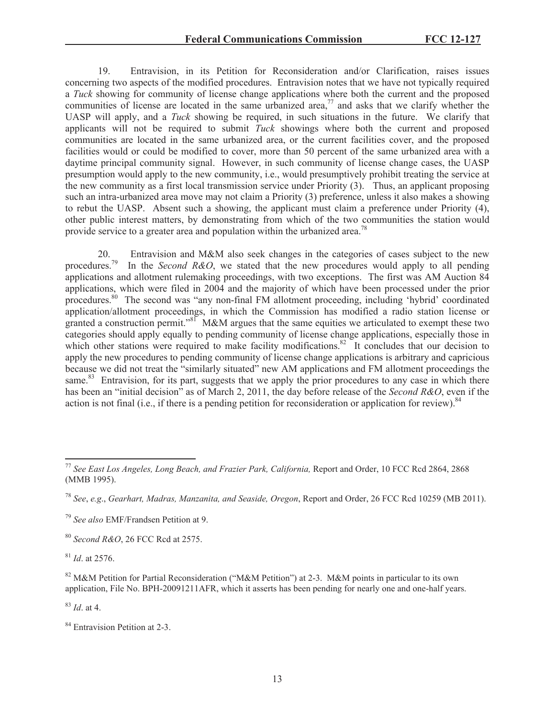19. Entravision, in its Petition for Reconsideration and/or Clarification, raises issues concerning two aspects of the modified procedures. Entravision notes that we have not typically required a *Tuck* showing for community of license change applications where both the current and the proposed communities of license are located in the same urbanized area, $\frac{7}{7}$  and asks that we clarify whether the UASP will apply, and a *Tuck* showing be required, in such situations in the future. We clarify that applicants will not be required to submit *Tuck* showings where both the current and proposed communities are located in the same urbanized area, or the current facilities cover, and the proposed facilities would or could be modified to cover, more than 50 percent of the same urbanized area with a daytime principal community signal. However, in such community of license change cases, the UASP presumption would apply to the new community, i.e., would presumptively prohibit treating the service at the new community as a first local transmission service under Priority (3). Thus, an applicant proposing such an intra-urbanized area move may not claim a Priority (3) preference, unless it also makes a showing to rebut the UASP. Absent such a showing, the applicant must claim a preference under Priority (4), other public interest matters, by demonstrating from which of the two communities the station would provide service to a greater area and population within the urbanized area.<sup>78</sup>

20. Entravision and M&M also seek changes in the categories of cases subject to the new procedures.<sup>79</sup> In the *Second R&O*, we stated that the new procedures would apply to all pending applications and allotment rulemaking proceedings, with two exceptions. The first was AM Auction 84 applications, which were filed in 2004 and the majority of which have been processed under the prior procedures.<sup>80</sup> The second was "any non-final FM allotment proceeding, including 'hybrid' coordinated application/allotment proceedings, in which the Commission has modified a radio station license or granted a construction permit."<sup>81</sup> M&M argues that the same equities we articulated to exempt these two categories should apply equally to pending community of license change applications, especially those in which other stations were required to make facility modifications.<sup>82</sup> It concludes that our decision to apply the new procedures to pending community of license change applications is arbitrary and capricious because we did not treat the "similarly situated" new AM applications and FM allotment proceedings the same.<sup>83</sup> Entravision, for its part, suggests that we apply the prior procedures to any case in which there has been an "initial decision" as of March 2, 2011, the day before release of the *Second R&O*, even if the action is not final (i.e., if there is a pending petition for reconsideration or application for review).  $84$ 

<sup>80</sup> *Second R&O*, 26 FCC Rcd at 2575.

<sup>81</sup> *Id*. at 2576.

<sup>83</sup> *Id*. at 4.

<sup>77</sup> *See East Los Angeles, Long Beach, and Frazier Park, California,* Report and Order, 10 FCC Rcd 2864, 2868 (MMB 1995).

<sup>78</sup> *See*, *e.g*., *Gearhart, Madras, Manzanita, and Seaside, Oregon*, Report and Order, 26 FCC Rcd 10259 (MB 2011).

<sup>79</sup> *See also* EMF/Frandsen Petition at 9.

<sup>&</sup>lt;sup>82</sup> M&M Petition for Partial Reconsideration ("M&M Petition") at 2-3. M&M points in particular to its own application, File No. BPH-20091211AFR, which it asserts has been pending for nearly one and one-half years.

<sup>&</sup>lt;sup>84</sup> Entravision Petition at 2-3.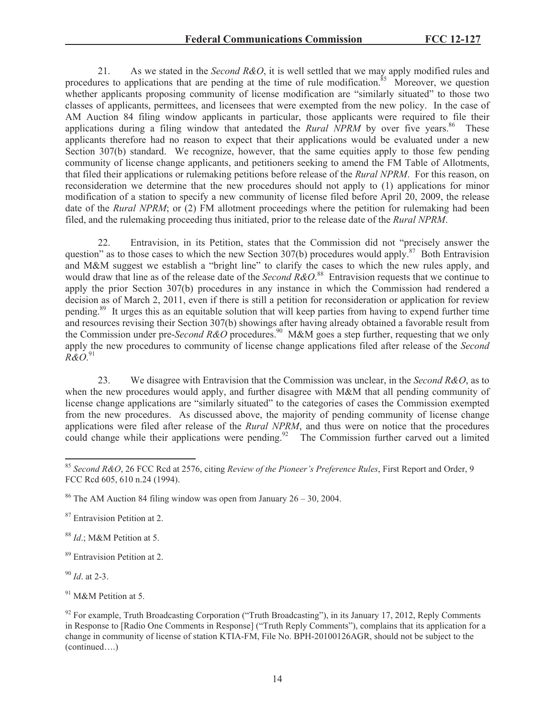21. As we stated in the *Second R&O*, it is well settled that we may apply modified rules and procedures to applications that are pending at the time of rule modification.<sup>85</sup> Moreover, we question whether applicants proposing community of license modification are "similarly situated" to those two classes of applicants, permittees, and licensees that were exempted from the new policy. In the case of AM Auction 84 filing window applicants in particular, those applicants were required to file their applications during a filing window that antedated the *Rural NPRM* by over five years.<sup>86</sup> These applicants therefore had no reason to expect that their applications would be evaluated under a new Section 307(b) standard. We recognize, however, that the same equities apply to those few pending community of license change applicants, and petitioners seeking to amend the FM Table of Allotments, that filed their applications or rulemaking petitions before release of the *Rural NPRM*. For this reason, on reconsideration we determine that the new procedures should not apply to (1) applications for minor modification of a station to specify a new community of license filed before April 20, 2009, the release date of the *Rural NPRM*; or (2) FM allotment proceedings where the petition for rulemaking had been filed, and the rulemaking proceeding thus initiated, prior to the release date of the *Rural NPRM*.

22. Entravision, in its Petition, states that the Commission did not "precisely answer the question" as to those cases to which the new Section 307(b) procedures would apply.<sup>87</sup> Both Entravision and M&M suggest we establish a "bright line" to clarify the cases to which the new rules apply, and would draw that line as of the release date of the *Second R&O*. <sup>88</sup> Entravision requests that we continue to apply the prior Section 307(b) procedures in any instance in which the Commission had rendered a decision as of March 2, 2011, even if there is still a petition for reconsideration or application for review pending.<sup>89</sup> It urges this as an equitable solution that will keep parties from having to expend further time and resources revising their Section 307(b) showings after having already obtained a favorable result from the Commission under pre-*Second R&O* procedures.<sup>90</sup> M&M goes a step further, requesting that we only apply the new procedures to community of license change applications filed after release of the *Second R&O*. 91

23. We disagree with Entravision that the Commission was unclear, in the *Second R&O*, as to when the new procedures would apply, and further disagree with M&M that all pending community of license change applications are "similarly situated" to the categories of cases the Commission exempted from the new procedures. As discussed above, the majority of pending community of license change applications were filed after release of the *Rural NPRM*, and thus were on notice that the procedures could change while their applications were pending.<sup>92</sup> The Commission further carved out a limited

<sup>87</sup> Entravision Petition at 2.

<sup>88</sup> *Id*.; M&M Petition at 5.

<sup>89</sup> Entravision Petition at 2.

<sup>90</sup> *Id*. at 2-3.

<sup>91</sup> M&M Petition at 5.

<sup>85</sup> *Second R&O*, 26 FCC Rcd at 2576, citing *Review of the Pioneer's Preference Rules*, First Report and Order, 9 FCC Rcd 605, 610 n.24 (1994).

<sup>&</sup>lt;sup>86</sup> The AM Auction 84 filing window was open from January  $26 - 30$ , 2004.

 $92$  For example, Truth Broadcasting Corporation ("Truth Broadcasting"), in its January 17, 2012, Reply Comments in Response to [Radio One Comments in Response] ("Truth Reply Comments"), complains that its application for a change in community of license of station KTIA-FM, File No. BPH-20100126AGR, should not be subject to the (continued….)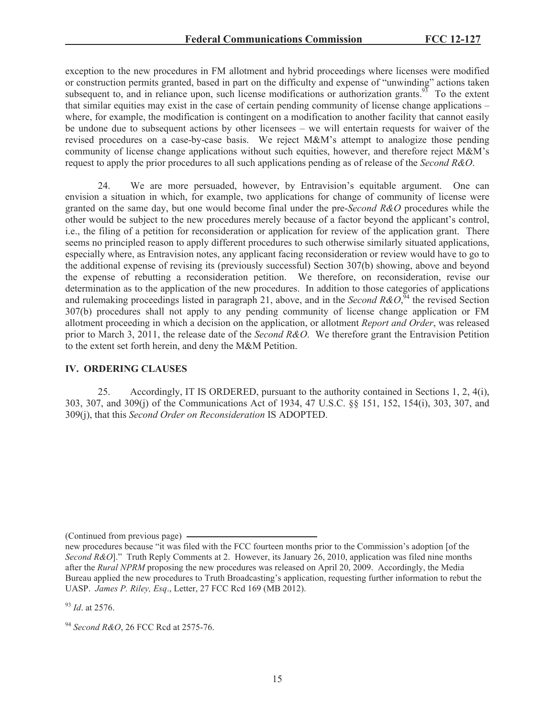exception to the new procedures in FM allotment and hybrid proceedings where licenses were modified or construction permits granted, based in part on the difficulty and expense of "unwinding" actions taken subsequent to, and in reliance upon, such license modifications or authorization grants.<sup>93</sup> To the extent that similar equities may exist in the case of certain pending community of license change applications – where, for example, the modification is contingent on a modification to another facility that cannot easily be undone due to subsequent actions by other licensees – we will entertain requests for waiver of the revised procedures on a case-by-case basis. We reject M&M's attempt to analogize those pending community of license change applications without such equities, however, and therefore reject M&M's request to apply the prior procedures to all such applications pending as of release of the *Second R&O*.

24. We are more persuaded, however, by Entravision's equitable argument. One can envision a situation in which, for example, two applications for change of community of license were granted on the same day, but one would become final under the pre-*Second R&O* procedures while the other would be subject to the new procedures merely because of a factor beyond the applicant's control, i.e., the filing of a petition for reconsideration or application for review of the application grant. There seems no principled reason to apply different procedures to such otherwise similarly situated applications, especially where, as Entravision notes, any applicant facing reconsideration or review would have to go to the additional expense of revising its (previously successful) Section 307(b) showing, above and beyond the expense of rebutting a reconsideration petition. We therefore, on reconsideration, revise our determination as to the application of the new procedures. In addition to those categories of applications and rulemaking proceedings listed in paragraph 21, above, and in the *Second R&O*,<sup> $\frac{5}{4}$ </sup> the revised Section 307(b) procedures shall not apply to any pending community of license change application or FM allotment proceeding in which a decision on the application, or allotment *Report and Order*, was released prior to March 3, 2011, the release date of the *Second R&O*. We therefore grant the Entravision Petition to the extent set forth herein, and deny the M&M Petition.

## **IV. ORDERING CLAUSES**

25. Accordingly, IT IS ORDERED, pursuant to the authority contained in Sections 1, 2, 4(i), 303, 307, and 309(j) of the Communications Act of 1934, 47 U.S.C. §§ 151, 152, 154(i), 303, 307, and 309(j), that this *Second Order on Reconsideration* IS ADOPTED.

(Continued from previous page)

<sup>93</sup> *Id*. at 2576.

new procedures because "it was filed with the FCC fourteen months prior to the Commission's adoption [of the *Second R&O*]." Truth Reply Comments at 2. However, its January 26, 2010, application was filed nine months after the *Rural NPRM* proposing the new procedures was released on April 20, 2009. Accordingly, the Media Bureau applied the new procedures to Truth Broadcasting's application, requesting further information to rebut the UASP. *James P. Riley, Esq*., Letter, 27 FCC Rcd 169 (MB 2012).

<sup>94</sup> *Second R&O*, 26 FCC Rcd at 2575-76.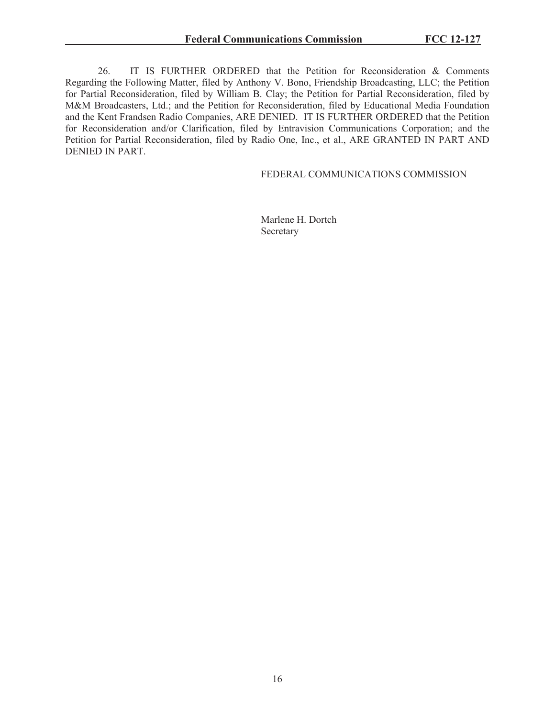26. IT IS FURTHER ORDERED that the Petition for Reconsideration & Comments Regarding the Following Matter, filed by Anthony V. Bono, Friendship Broadcasting, LLC; the Petition for Partial Reconsideration, filed by William B. Clay; the Petition for Partial Reconsideration, filed by M&M Broadcasters, Ltd.; and the Petition for Reconsideration, filed by Educational Media Foundation and the Kent Frandsen Radio Companies, ARE DENIED. IT IS FURTHER ORDERED that the Petition for Reconsideration and/or Clarification, filed by Entravision Communications Corporation; and the Petition for Partial Reconsideration, filed by Radio One, Inc., et al., ARE GRANTED IN PART AND DENIED IN PART.

### FEDERAL COMMUNICATIONS COMMISSION

Marlene H. Dortch Secretary